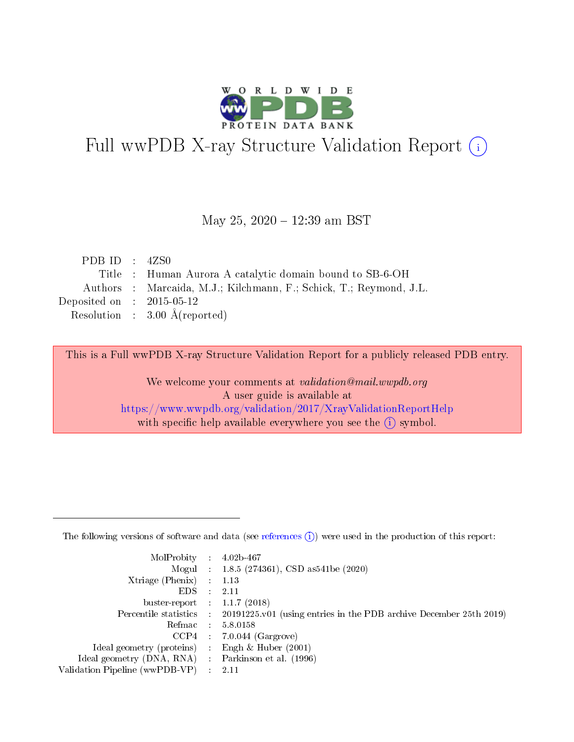

# Full wwPDB X-ray Structure Validation Report (i)

#### May 25, 2020 - 12:39 am BST

| PDB ID : $4ZS0$             |                                                                    |
|-----------------------------|--------------------------------------------------------------------|
|                             | Title : Human Aurora A catalytic domain bound to SB-6-OH           |
|                             | Authors : Marcaida, M.J.; Kilchmann, F.; Schick, T.; Reymond, J.L. |
| Deposited on : $2015-05-12$ |                                                                    |
|                             | Resolution : $3.00 \text{ Å}$ (reported)                           |
|                             |                                                                    |

This is a Full wwPDB X-ray Structure Validation Report for a publicly released PDB entry.

We welcome your comments at validation@mail.wwpdb.org A user guide is available at <https://www.wwpdb.org/validation/2017/XrayValidationReportHelp> with specific help available everywhere you see the  $(i)$  symbol.

The following versions of software and data (see [references](https://www.wwpdb.org/validation/2017/XrayValidationReportHelp#references)  $(1)$ ) were used in the production of this report:

| $MolProbability$ 4.02b-467                          |                                                                                            |
|-----------------------------------------------------|--------------------------------------------------------------------------------------------|
|                                                     | Mogul : 1.8.5 (274361), CSD as 541 be (2020)                                               |
| $Xtriangle (Phenix)$ : 1.13                         |                                                                                            |
| $EDS$ :                                             | -2.11                                                                                      |
| buster-report : $1.1.7$ (2018)                      |                                                                                            |
|                                                     | Percentile statistics : 20191225.v01 (using entries in the PDB archive December 25th 2019) |
| Refmac $5.8.0158$                                   |                                                                                            |
|                                                     | $CCP4$ 7.0.044 (Gargrove)                                                                  |
| Ideal geometry (proteins) :                         | Engh $\&$ Huber (2001)                                                                     |
| Ideal geometry (DNA, RNA) : Parkinson et al. (1996) |                                                                                            |
| Validation Pipeline (wwPDB-VP) : 2.11               |                                                                                            |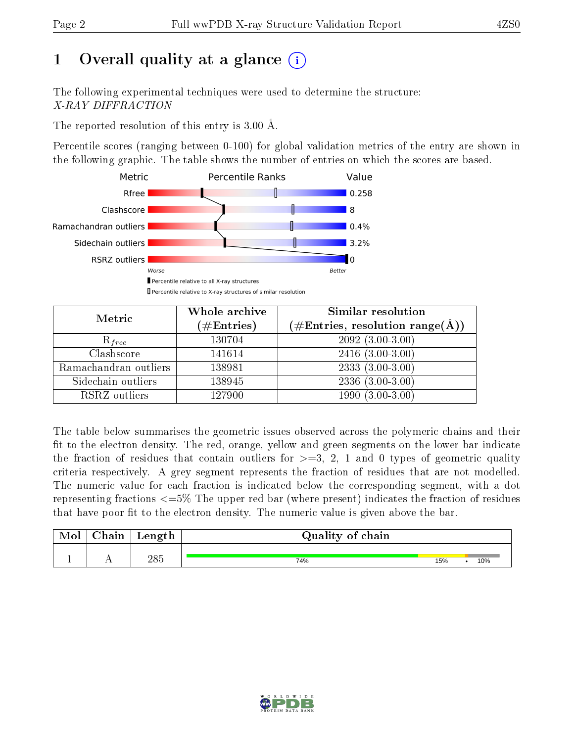# 1 [O](https://www.wwpdb.org/validation/2017/XrayValidationReportHelp#overall_quality)verall quality at a glance  $(i)$

The following experimental techniques were used to determine the structure: X-RAY DIFFRACTION

The reported resolution of this entry is 3.00 Å.

Percentile scores (ranging between 0-100) for global validation metrics of the entry are shown in the following graphic. The table shows the number of entries on which the scores are based.



| Metric                | Whole archive<br>$(\#\text{Entries})$ | Similar resolution<br>(#Entries, resolution range(Å)) |  |  |
|-----------------------|---------------------------------------|-------------------------------------------------------|--|--|
| $R_{free}$            | 130704                                | $2092~(3.\overline{00-3.00)}$                         |  |  |
| Clashscore            | 141614                                | $2416(3.00-3.00)$                                     |  |  |
| Ramachandran outliers | 138981                                | $2333(3.00-3.00)$                                     |  |  |
| Sidechain outliers    | 138945                                | $2336(3.00-3.00)$                                     |  |  |
| RSRZ outliers         | 127900                                | $1990(3.00-3.00)$                                     |  |  |

The table below summarises the geometric issues observed across the polymeric chains and their fit to the electron density. The red, orange, yellow and green segments on the lower bar indicate the fraction of residues that contain outliers for  $>=3, 2, 1$  and 0 types of geometric quality criteria respectively. A grey segment represents the fraction of residues that are not modelled. The numeric value for each fraction is indicated below the corresponding segment, with a dot representing fractions  $\epsilon=5\%$  The upper red bar (where present) indicates the fraction of residues that have poor fit to the electron density. The numeric value is given above the bar.

| Mol | $7h$ oin<br>папг | Length | Quality of chain |     |  |     |  |  |
|-----|------------------|--------|------------------|-----|--|-----|--|--|
|     | $ -$             | 285    | 74%              | 15% |  | 10% |  |  |

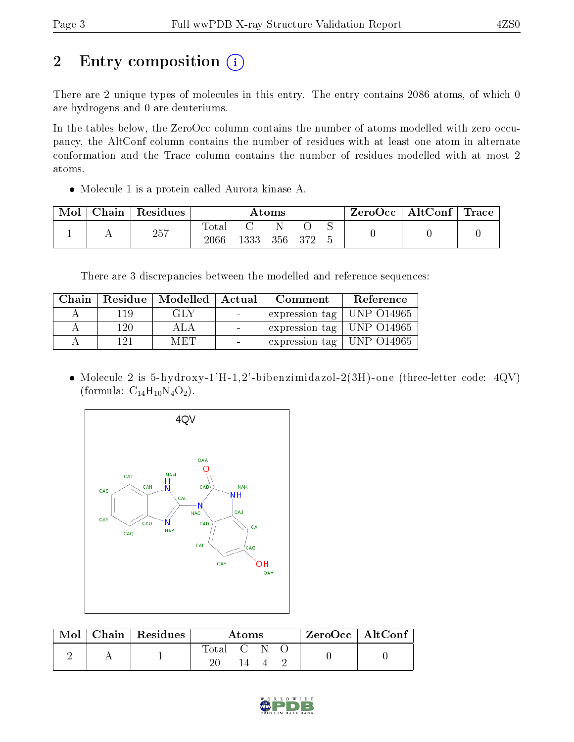# 2 Entry composition (i)

There are 2 unique types of molecules in this entry. The entry contains 2086 atoms, of which 0 are hydrogens and 0 are deuteriums.

In the tables below, the ZeroOcc column contains the number of atoms modelled with zero occupancy, the AltConf column contains the number of residues with at least one atom in alternate conformation and the Trace column contains the number of residues modelled with at most 2 atoms.

Molecule 1 is a protein called Aurora kinase A.

| Mol | Chain | Residues | Atoms         |      |  |         |  | $\text{ZeroOcc} \mid \text{AltConf} \mid \text{Trace}$ |  |
|-----|-------|----------|---------------|------|--|---------|--|--------------------------------------------------------|--|
|     |       | 257      | Total<br>2066 | 1333 |  | 356 372 |  |                                                        |  |

There are 3 discrepancies between the modelled and reference sequences:

| Chain |     | Residue   Modelled   Actual | – Comment                     | Reference |
|-------|-----|-----------------------------|-------------------------------|-----------|
|       | 119 | GLY                         | expression tag   UNP $O14965$ |           |
|       | 120 | ALA                         | expression tag   UNP $014965$ |           |
|       | 191 | MET                         | expression tag   UNP 014965   |           |

• Molecule 2 is 5-hydroxy-1'H-1,2'-bibenzimidazol-2(3H)-one (three-letter code: 4QV) (formula:  $C_{14}H_{10}N_4O_2$ ).



| Mol | $\mid$ Chain $\mid$ Residues | Atoms                             |  |  |  | $ZeroOcc \   \$ AltConf |
|-----|------------------------------|-----------------------------------|--|--|--|-------------------------|
|     |                              | $\mathrm{Total} \quad \mathrm{C}$ |  |  |  |                         |
|     |                              |                                   |  |  |  |                         |

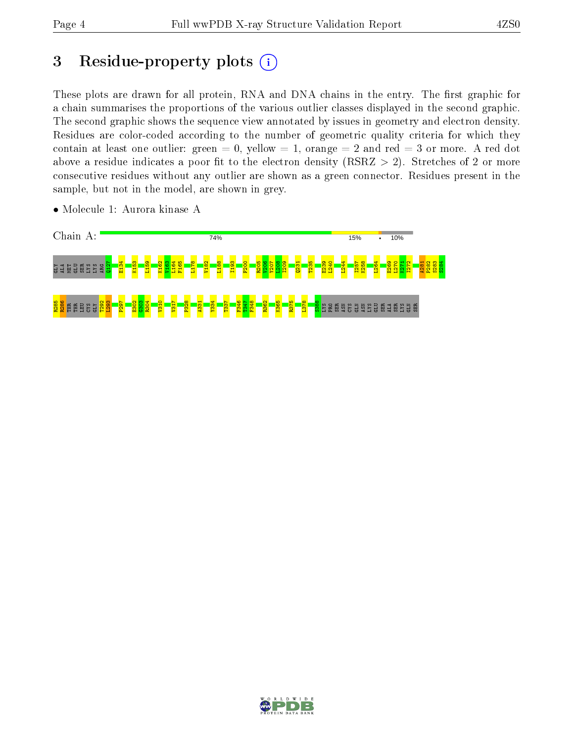# 3 Residue-property plots  $(i)$

These plots are drawn for all protein, RNA and DNA chains in the entry. The first graphic for a chain summarises the proportions of the various outlier classes displayed in the second graphic. The second graphic shows the sequence view annotated by issues in geometry and electron density. Residues are color-coded according to the number of geometric quality criteria for which they contain at least one outlier: green  $= 0$ , yellow  $= 1$ , orange  $= 2$  and red  $= 3$  or more. A red dot above a residue indicates a poor fit to the electron density (RSRZ  $> 2$ ). Stretches of 2 or more consecutive residues without any outlier are shown as a green connector. Residues present in the sample, but not in the model, are shown in grey.



• Molecule 1: Aurora kinase A

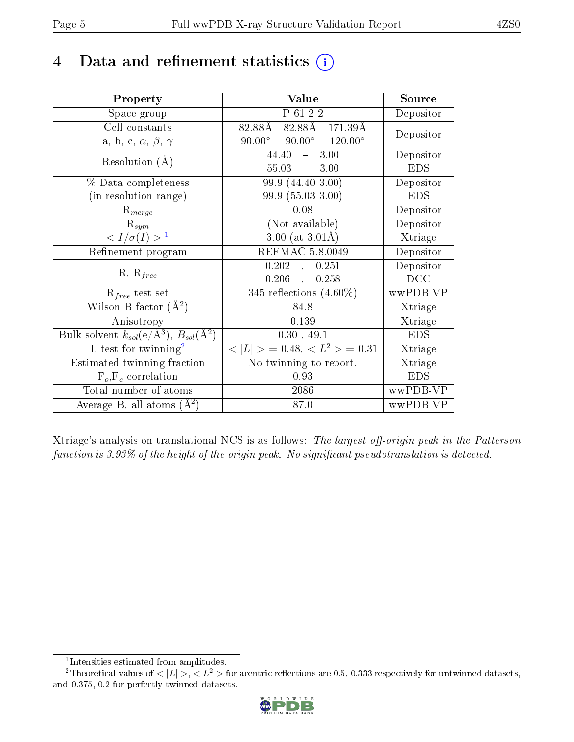## 4 Data and refinement statistics  $(i)$

| Property                                                         | Value                                                  | Source     |
|------------------------------------------------------------------|--------------------------------------------------------|------------|
| Space group                                                      | P 61 2 2                                               | Depositor  |
| Cell constants                                                   | $82.88\text{\AA}$ $82.88\text{\AA}$ $171.39\text{\AA}$ | Depositor  |
| a, b, c, $\alpha$ , $\beta$ , $\gamma$                           | $90.00^{\circ}$ $90.00^{\circ}$ $120.00^{\circ}$       |            |
| Resolution $(A)$                                                 | $-3.00$<br>44.40                                       | Depositor  |
|                                                                  | $55.03 - 3.00$                                         | <b>EDS</b> |
| % Data completeness                                              | 99.9 (44.40-3.00)                                      | Depositor  |
| (in resolution range)                                            | 99.9 (55.03-3.00)                                      | <b>EDS</b> |
| $R_{merge}$                                                      | 0.08                                                   | Depositor  |
| $\mathrm{R}_{sym}$                                               | (Not available)                                        | Depositor  |
| $\langle I/\sigma(I) \rangle^{-1}$                               | $3.00$ (at $3.01\text{\AA}$ )                          | Xtriage    |
| Refinement program                                               | <b>REFMAC 5.8.0049</b>                                 | Depositor  |
|                                                                  | 0.202<br>0.251<br>$\overline{\phantom{a}}$             | Depositor  |
| $R, R_{free}$                                                    | $0.206$ ,<br>0.258                                     | DCC        |
| $R_{free}$ test set                                              | 345 reflections $(4.60\%)$                             | wwPDB-VP   |
| Wilson B-factor $(A^2)$                                          | 84.8                                                   | Xtriage    |
| Anisotropy                                                       | 0.139                                                  | Xtriage    |
| Bulk solvent $k_{sol}(\text{e}/\text{A}^3), B_{sol}(\text{A}^2)$ | 0.30, 49.1                                             | <b>EDS</b> |
| L-test for $\mathrm{twinning}^2$                                 | $< L >$ = 0.48, $< L2 >$ = 0.31                        | Xtriage    |
| Estimated twinning fraction                                      | No twinning to report.                                 | Xtriage    |
| $F_o, F_c$ correlation                                           | 0.93                                                   | <b>EDS</b> |
| Total number of atoms                                            | 2086                                                   | wwPDB-VP   |
| Average B, all atoms $(A^2)$                                     | 87.0                                                   | wwPDB-VP   |

Xtriage's analysis on translational NCS is as follows: The largest off-origin peak in the Patterson function is  $3.93\%$  of the height of the origin peak. No significant pseudotranslation is detected.

<sup>&</sup>lt;sup>2</sup>Theoretical values of  $\langle |L| \rangle$ ,  $\langle L^2 \rangle$  for acentric reflections are 0.5, 0.333 respectively for untwinned datasets, and 0.375, 0.2 for perfectly twinned datasets.



<span id="page-4-1"></span><span id="page-4-0"></span><sup>1</sup> Intensities estimated from amplitudes.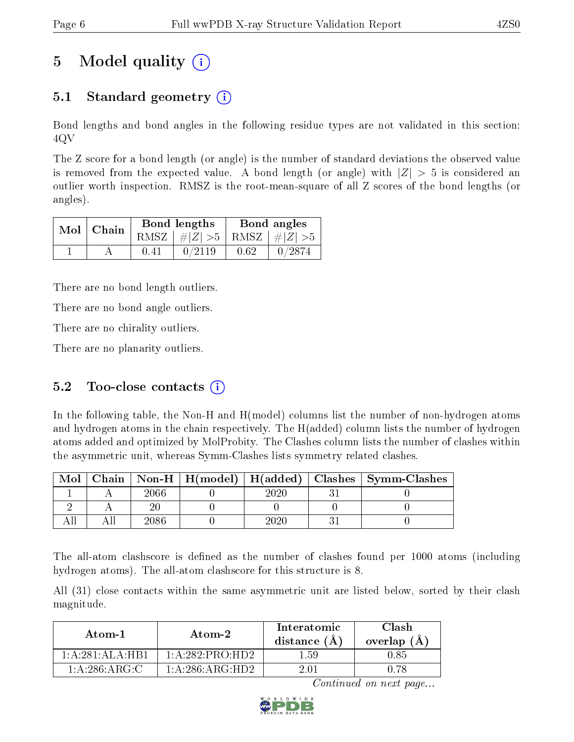# 5 Model quality  $(i)$

### 5.1 Standard geometry (i)

Bond lengths and bond angles in the following residue types are not validated in this section: 4QV

The Z score for a bond length (or angle) is the number of standard deviations the observed value is removed from the expected value. A bond length (or angle) with  $|Z| > 5$  is considered an outlier worth inspection. RMSZ is the root-mean-square of all Z scores of the bond lengths (or angles).

|  | $Mol$   Chain |      | Bond lengths                    | Bond angles |        |  |
|--|---------------|------|---------------------------------|-------------|--------|--|
|  |               |      | RMSZ $ #Z  > 5$ RMSZ $ #Z  > 5$ |             |        |  |
|  |               | 0.41 | 0/2119                          | 0.62        | 0/2874 |  |

There are no bond length outliers.

There are no bond angle outliers.

There are no chirality outliers.

There are no planarity outliers.

### 5.2 Too-close contacts  $(i)$

In the following table, the Non-H and H(model) columns list the number of non-hydrogen atoms and hydrogen atoms in the chain respectively. The H(added) column lists the number of hydrogen atoms added and optimized by MolProbity. The Clashes column lists the number of clashes within the asymmetric unit, whereas Symm-Clashes lists symmetry related clashes.

| Mol |      |  | Chain   Non-H   H(model)   H(added)   Clashes   Symm-Clashes |
|-----|------|--|--------------------------------------------------------------|
|     | 2066 |  |                                                              |
|     |      |  |                                                              |
|     | 2086 |  |                                                              |

The all-atom clashscore is defined as the number of clashes found per 1000 atoms (including hydrogen atoms). The all-atom clashscore for this structure is 8.

All (31) close contacts within the same asymmetric unit are listed below, sorted by their clash magnitude.

| Atom-1           | Atom-2            | Interatomic<br>distance $(A)$ | Clash<br>overlap $(A)$ |  |
|------------------|-------------------|-------------------------------|------------------------|--|
| 1: A:281:ALA:HB1 | 1: A:282:PRO:HD2  | 1.59                          | 0.85                   |  |
| 1: A:286: ARG:C  | 1: A:286: ARG:HD2 | 2.01                          | በ 78                   |  |

Continued on next page...

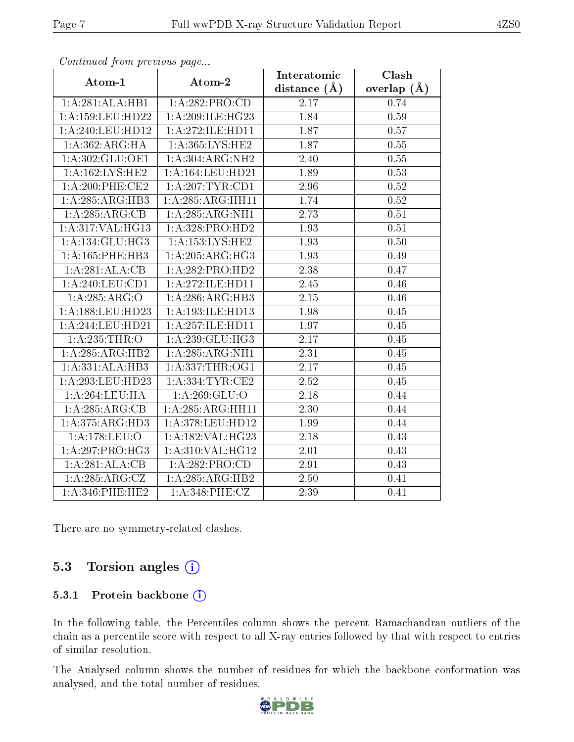| $\sum_{i=1}^{n}$     |                                     | Interatomic       | Clash         |
|----------------------|-------------------------------------|-------------------|---------------|
| Atom-1               | Atom-2                              | distance $(A)$    | overlap $(A)$ |
| 1:A:281:ALA:HB1      | 1:A:282:PRO:CD                      | 2.17              | 0.74          |
| 1: A: 159: LEU: HD22 | 1:A:209:ILE:HG23                    | 1.84              | 0.59          |
| 1:A:240:LEU:HD12     | 1:A:272:ILE:HD11                    | 1.87              | 0.57          |
| 1:A:362:ARG:HA       | 1:A:365:LYS:HE2                     | 1.87              | 0.55          |
| 1:A:302:GLU:OE1      | $1:A:304:ARG:\overline{\text{NH2}}$ | 2.40              | $0.55\,$      |
| 1: A: 162: LYS: HE2  | 1:A:164:LEU:HD21                    | 1.89              | 0.53          |
| $1: A:200:$ PHE:CE2  | 1: A:207:TYR:CD1                    | 2.96              | 0.52          |
| 1:A:285:ARG:HB3      | 1:A:285:ARG:HH11                    | 1.74              | $0.52\,$      |
| 1:A:285:ARG:CB       | 1:A:285:ARG:NH1                     | 2.73              | 0.51          |
| 1:A:317:VAL:HG13     | 1:A:328:PRO:HD2                     | 1.93              | 0.51          |
| 1:A:134:GLU:HG3      | 1: A: 153: LYS: HE2                 | 1.93              | 0.50          |
| 1: A: 165: PHE: HB3  | 1:A:205:ARG:HG3                     | 1.93              | 0.49          |
| 1:A:281:ALA:CB       | 1:A:282:PRO:HD2                     | 2.38              | 0.47          |
| 1:A:240:LEU:CD1      | 1:A:272:ILE:HD11                    | 2.45              | 0.46          |
| 1:A:285:ARG:O        | 1: A:286:ARG:HB3                    | 2.15              | 0.46          |
| 1:A:188:LEU:HD23     | 1:A:193:ILE:HD13                    | 1.98              | 0.45          |
| 1:A:244:LEU:HD21     | 1:A:257:ILE:HD11                    | 1.97              | 0.45          |
| 1: A:235:THR:O       | 1:A:239:GLU:HG3                     | 2.17              | 0.45          |
| 1:A:285:ARG:HB2      | 1:A:285:ARG:NH1                     | 2.31              | 0.45          |
| 1:A:331:ALA:HB3      | 1:A:337:THR:OG1                     | 2.17              | 0.45          |
| 1:A:293:LEU:HD23     | 1: A: 334: TYR: CE2                 | 2.52              | 0.45          |
| 1:A:264:LEU:HA       | 1:A:269:GLU:O                       | 2.18              | 0.44          |
| 1:A:285:ARG:CB       | 1:A:285:ARG:HH11                    | 2.30              | 0.44          |
| 1:A:375:ARG:HD3      | 1:A:378:LEU:HD12                    | 1.99              | 0.44          |
| 1:A:178:LEU:O        | 1:A:182:VAL:HG23                    | 2.18              | 0.43          |
| 1:A:297:PRO:HG3      | 1:A:310:VAL:HG12                    | $\overline{2.01}$ | 0.43          |
| 1:A:281:ALA:CB       | 1:A:282:PRO:CD                      | 2.91              | 0.43          |
| 1:A:285:ARG:CZ       | 1:A:285:ARG:HB2                     | 2.50              | 0.41          |
| $1: A:346:$ PHE:HE2  | 1:A:348:PHE:CZ                      | 2.39              | 0.41          |

Continued from previous page...

There are no symmetry-related clashes.

### 5.3 Torsion angles (i)

#### 5.3.1 Protein backbone (i)

In the following table, the Percentiles column shows the percent Ramachandran outliers of the chain as a percentile score with respect to all X-ray entries followed by that with respect to entries of similar resolution.

The Analysed column shows the number of residues for which the backbone conformation was analysed, and the total number of residues.



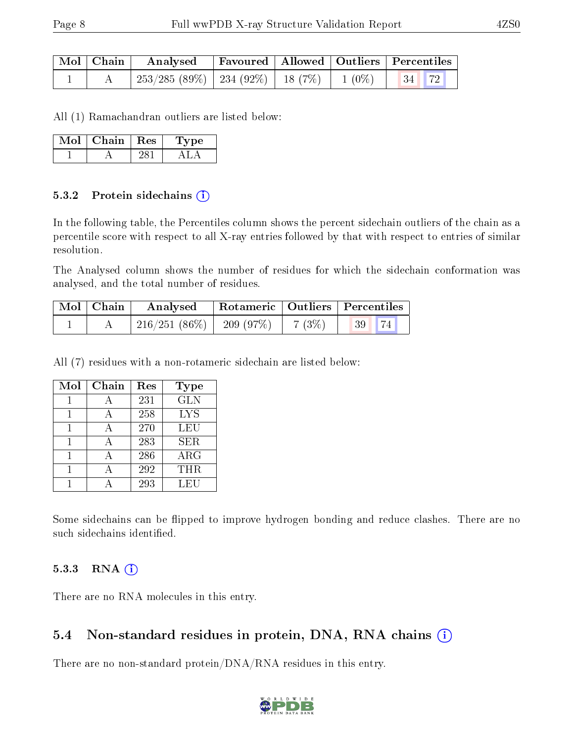| Mol   Chain | $\boldsymbol{\mathrm{Analysed}}$                         |  | Favoured   Allowed   Outliers   Percentiles |  |
|-------------|----------------------------------------------------------|--|---------------------------------------------|--|
|             | $253/285(89\%)$   234 (92%)   18 (7%)   1 (0%)   34   72 |  |                                             |  |

All (1) Ramachandran outliers are listed below:

| Mol | Chain   Res | 'Type |  |
|-----|-------------|-------|--|
|     |             |       |  |

#### 5.3.2 Protein sidechains  $(i)$

In the following table, the Percentiles column shows the percent sidechain outliers of the chain as a percentile score with respect to all X-ray entries followed by that with respect to entries of similar resolution.

The Analysed column shows the number of residues for which the sidechain conformation was analysed, and the total number of residues.

| Mol   Chain | Analysed        | Rotameric   Outliers   Percentiles |          |           |  |  |
|-------------|-----------------|------------------------------------|----------|-----------|--|--|
|             | $216/251(86\%)$ | 209(97%)                           | $7(3\%)$ | $ 39 $ 74 |  |  |

All (7) residues with a non-rotameric sidechain are listed below:

| Mol | Chain        | Res | <b>Type</b>             |
|-----|--------------|-----|-------------------------|
|     |              | 231 | $\overline{\text{GLN}}$ |
|     |              | 258 | <b>LYS</b>              |
|     | $\mathsf{A}$ | 270 | LEU                     |
|     |              | 283 | <b>SER</b>              |
|     |              | 286 | ARG                     |
|     | А            | 292 | THR.                    |
|     |              | 293 | LEU                     |

Some sidechains can be flipped to improve hydrogen bonding and reduce clashes. There are no such sidechains identified.

#### $5.3.3$  RNA  $(i)$

There are no RNA molecules in this entry.

#### 5.4 Non-standard residues in protein, DNA, RNA chains  $(i)$

There are no non-standard protein/DNA/RNA residues in this entry.

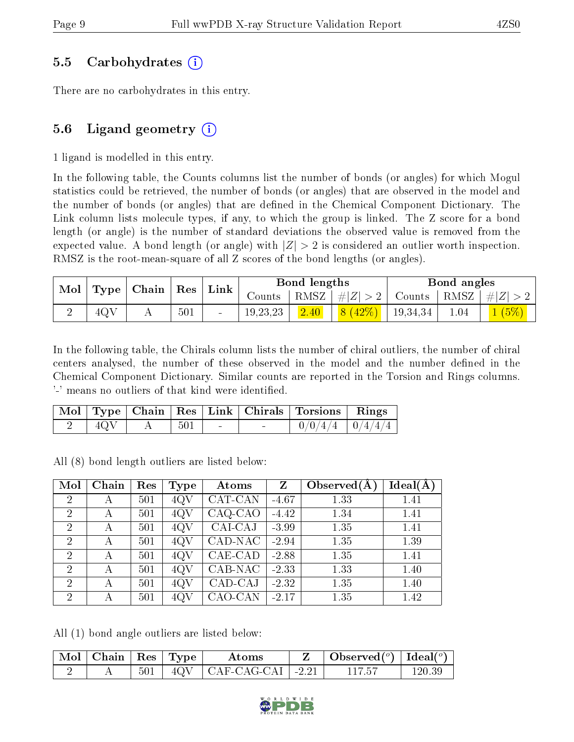#### 5.5 Carbohydrates (i)

There are no carbohydrates in this entry.

### 5.6 Ligand geometry  $(i)$

1 ligand is modelled in this entry.

In the following table, the Counts columns list the number of bonds (or angles) for which Mogul statistics could be retrieved, the number of bonds (or angles) that are observed in the model and the number of bonds (or angles) that are defined in the Chemical Component Dictionary. The Link column lists molecule types, if any, to which the group is linked. The Z score for a bond length (or angle) is the number of standard deviations the observed value is removed from the expected value. A bond length (or angle) with  $|Z| > 2$  is considered an outlier worth inspection. RMSZ is the root-mean-square of all Z scores of the bond lengths (or angles).

| Mol | Type |  | Chain   Res |  |          | $^{\shortmid}$ Link |                                                                                      | Bond lengths |                                                                   | Bond angles |  |
|-----|------|--|-------------|--|----------|---------------------|--------------------------------------------------------------------------------------|--------------|-------------------------------------------------------------------|-------------|--|
|     |      |  |             |  |          |                     |                                                                                      |              | Counts   RMSZ $\mid \#  Z  > 2$   Counts   RMSZ $\mid \#  Z  > 2$ |             |  |
|     | 4QV  |  | 501         |  | 19.23.23 | 2.40                | $\begin{array}{ c c c c c c c c } \hline 8 & (42\%) & 19,34,34 \\\hline \end{array}$ | 1.04         |                                                                   |             |  |

In the following table, the Chirals column lists the number of chiral outliers, the number of chiral centers analysed, the number of these observed in the model and the number defined in the Chemical Component Dictionary. Similar counts are reported in the Torsion and Rings columns. '-' means no outliers of that kind were identified.

|      |     |                          | Mol   Type   Chain   Res   Link   Chirals   Torsions   Rings |  |
|------|-----|--------------------------|--------------------------------------------------------------|--|
| 40 V | 501 | <b>Contract Contract</b> | $0/0/4/4$ $0/4/4/4$                                          |  |

All (8) bond length outliers are listed below:

| Mol            | Chain | Res | Type | Atoms   | $\mathbf{Z}$ | Observed $(A)$ | Ideal(A) |
|----------------|-------|-----|------|---------|--------------|----------------|----------|
| $\overline{2}$ | А     | 501 | 4QV  | CAT-CAN | $-4.67$      | 1.33           | 1.41     |
| $\overline{2}$ | А     | 501 | 4QV  | CAQ-CAO | $-4.42$      | 1.34           | 1.41     |
| $\overline{2}$ | А     | 501 | 4QV  | CAI-CAJ | $-3.99$      | 1.35           | 1.41     |
| $\overline{2}$ | А     | 501 | 4QV  | CAD-NAC | $-2.94$      | 1.35           | 1.39     |
| $\overline{2}$ | А     | 501 | 4QV  | CAE-CAD | $-2.88$      | 1.35           | 1.41     |
| $\overline{2}$ | А     | 501 | 4QV  | CAB-NAC | $-2.33$      | 1.33           | 1.40     |
| $\overline{2}$ | А     | 501 | 4QV  | CAD-CAJ | $-2.32$      | 1.35           | 1.40     |
| $\overline{2}$ | А     | 501 | 4QV  | CAO-CAN | $-2.17$      | 1.35           | 1.42     |

All (1) bond angle outliers are listed below:

| $\sqrt{\text{Mol}}$ Chain $\sqrt{\text{Res}}$ $\sqrt{\text{Type}}$ |  | Atoms                       | $\vert$ Observed $(^\circ)\vert$ Ideal $(^\circ)$ |        |
|--------------------------------------------------------------------|--|-----------------------------|---------------------------------------------------|--------|
|                                                                    |  | $4QV$   CAF-CAG-CAI   -2.21 |                                                   | 120.39 |

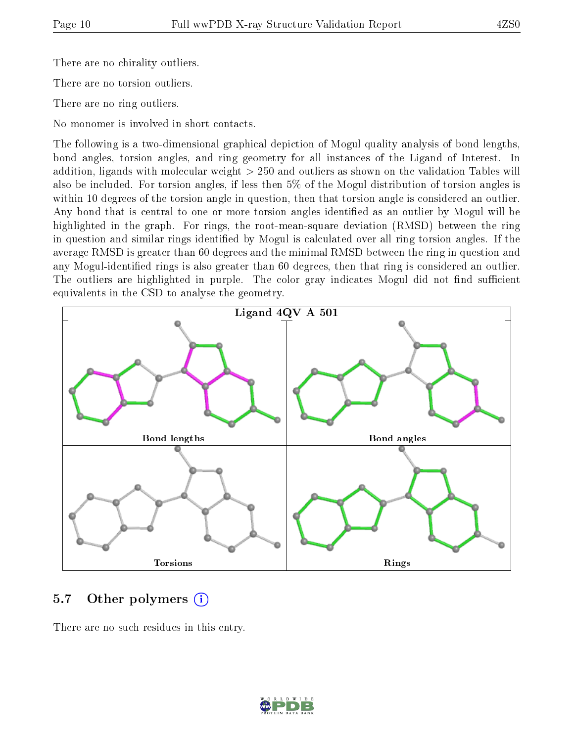There are no chirality outliers.

There are no torsion outliers.

There are no ring outliers.

No monomer is involved in short contacts.

The following is a two-dimensional graphical depiction of Mogul quality analysis of bond lengths, bond angles, torsion angles, and ring geometry for all instances of the Ligand of Interest. In addition, ligands with molecular weight > 250 and outliers as shown on the validation Tables will also be included. For torsion angles, if less then 5% of the Mogul distribution of torsion angles is within 10 degrees of the torsion angle in question, then that torsion angle is considered an outlier. Any bond that is central to one or more torsion angles identified as an outlier by Mogul will be highlighted in the graph. For rings, the root-mean-square deviation (RMSD) between the ring in question and similar rings identified by Mogul is calculated over all ring torsion angles. If the average RMSD is greater than 60 degrees and the minimal RMSD between the ring in question and any Mogul-identified rings is also greater than 60 degrees, then that ring is considered an outlier. The outliers are highlighted in purple. The color gray indicates Mogul did not find sufficient equivalents in the CSD to analyse the geometry.



### 5.7 [O](https://www.wwpdb.org/validation/2017/XrayValidationReportHelp#nonstandard_residues_and_ligands)ther polymers  $(i)$

There are no such residues in this entry.

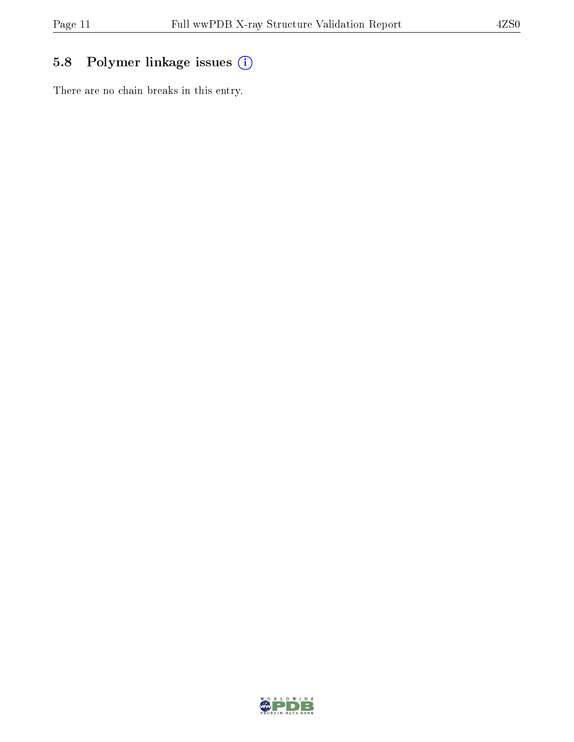## 5.8 Polymer linkage issues (i)

There are no chain breaks in this entry.

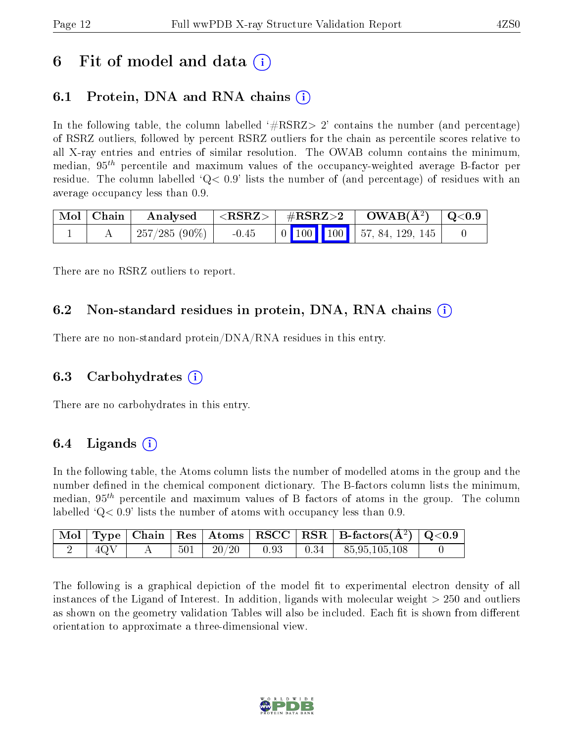## 6 Fit of model and data  $\left( \cdot \right)$

### 6.1 Protein, DNA and RNA chains (i)

In the following table, the column labelled  $#RSRZ> 2'$  contains the number (and percentage) of RSRZ outliers, followed by percent RSRZ outliers for the chain as percentile scores relative to all X-ray entries and entries of similar resolution. The OWAB column contains the minimum, median,  $95<sup>th</sup>$  percentile and maximum values of the occupancy-weighted average B-factor per residue. The column labelled  $Q < 0.9$  lists the number of (and percentage) of residues with an average occupancy less than 0.9.

| $\vert$ Mol $\vert$ Chain | Analysed      |         | $\langle \mathrm{RSRZ}\rangle \left  \right. \left. \mathrm{\#RSRZ}\mathrm{>2}\right. \right.$ |  | $OWAB(A^2)$ | $\mid \text{Q}<$ $0.9$                                                                    |  |
|---------------------------|---------------|---------|------------------------------------------------------------------------------------------------|--|-------------|-------------------------------------------------------------------------------------------|--|
|                           | 257/285 (90%) | $-0.45$ |                                                                                                |  |             | $\begin{array}{ c c c c c c c c c } \hline 0 & 100 & 57, 84, 129, 145 \hline \end{array}$ |  |

There are no RSRZ outliers to report.

### 6.2 Non-standard residues in protein, DNA, RNA chains  $(i)$

There are no non-standard protein/DNA/RNA residues in this entry.

#### 6.3 Carbohydrates (i)

There are no carbohydrates in this entry.

### 6.4 Ligands  $(i)$

In the following table, the Atoms column lists the number of modelled atoms in the group and the number defined in the chemical component dictionary. The B-factors column lists the minimum, median,  $95<sup>th</sup>$  percentile and maximum values of B factors of atoms in the group. The column labelled  $Q< 0.9$ ' lists the number of atoms with occupancy less than 0.9.

|     |  |                 |  | $\boxed{\text{Mol}}$ Type Chain Res Atoms RSCC RSR B-factors $(A^2)$ Q<0.9 |  |
|-----|--|-----------------|--|----------------------------------------------------------------------------|--|
| 4QV |  | $501$   $20/20$ |  | $\vert$ 0.93 $\vert$ 0.34 $\vert$ 85,95,105,108                            |  |

The following is a graphical depiction of the model fit to experimental electron density of all instances of the Ligand of Interest. In addition, ligands with molecular weight  $> 250$  and outliers as shown on the geometry validation Tables will also be included. Each fit is shown from different orientation to approximate a three-dimensional view.